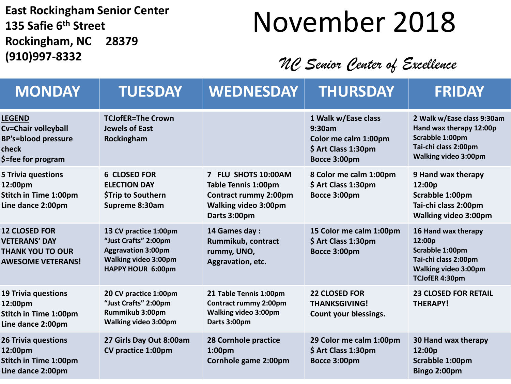**East Rockingham Senior Center 135 Safie 6th Street Rockingham, NC 28379 (910)997-8332**

## November 2018

#### *NC Senior Center of Excellence*

| <b>MONDAY</b>                                                                                       | <b>TUESDAY</b>                                                                                                                 | <b>WEDNESDAY</b>                                                                                                                 | <b>THURSDAY</b>                                                                              | <b>FRIDAY</b>                                                                                                                   |
|-----------------------------------------------------------------------------------------------------|--------------------------------------------------------------------------------------------------------------------------------|----------------------------------------------------------------------------------------------------------------------------------|----------------------------------------------------------------------------------------------|---------------------------------------------------------------------------------------------------------------------------------|
| <b>LEGEND</b><br>Cv=Chair volleyball<br><b>BP's=blood pressure</b><br>check<br>\$=fee for program   | <b>TCJofER=The Crown</b><br><b>Jewels of East</b><br>Rockingham                                                                |                                                                                                                                  | 1 Walk w/Ease class<br>9:30am<br>Color me calm 1:00pm<br>\$ Art Class 1:30pm<br>Bocce 3:00pm | 2 Walk w/Ease class 9:30am<br>Hand wax therapy 12:00p<br>Scrabble 1:00pm<br>Tai-chi class 2:00pm<br><b>Walking video 3:00pm</b> |
| <b>5 Trivia questions</b><br>12:00pm<br><b>Stitch in Time 1:00pm</b><br>Line dance 2:00pm           | <b>6 CLOSED FOR</b><br><b>ELECTION DAY</b><br><b>\$Trip to Southern</b><br>Supreme 8:30am                                      | 7 FLU SHOTS 10:00AM<br><b>Table Tennis 1:00pm</b><br><b>Contract rummy 2:00pm</b><br><b>Walking video 3:00pm</b><br>Darts 3:00pm | 8 Color me calm 1:00pm<br>\$ Art Class 1:30pm<br>Bocce 3:00pm                                | 9 Hand wax therapy<br>12:00p<br>Scrabble 1:00pm<br>Tai-chi class 2:00pm<br><b>Walking video 3:00pm</b>                          |
| <b>12 CLOSED FOR</b><br><b>VETERANS' DAY</b><br><b>THANK YOU TO OUR</b><br><b>AWESOME VETERANS!</b> | 13 CV practice 1:00pm<br>"Just Crafts" 2:00pm<br><b>Aggravation 3:00pm</b><br><b>Walking video 3:00pm</b><br>HAPPY HOUR 6:00pm | 14 Games day:<br>Rummikub, contract<br>rummy, UNO,<br>Aggravation, etc.                                                          | 15 Color me calm 1:00pm<br>\$ Art Class 1:30pm<br>Bocce 3:00pm                               | 16 Hand wax therapy<br>12:00p<br>Scrabble 1:00pm<br>Tai-chi class 2:00pm<br><b>Walking video 3:00pm</b><br>TCJofER 4:30pm       |
| <b>19 Trivia questions</b><br>12:00pm<br><b>Stitch in Time 1:00pm</b><br>Line dance 2:00pm          | 20 CV practice 1:00pm<br>"Just Crafts" 2:00pm<br>Rummikub 3:00pm<br><b>Walking video 3:00pm</b>                                | 21 Table Tennis 1:00pm<br><b>Contract rummy 2:00pm</b><br>Walking video 3:00pm<br>Darts 3:00pm                                   | <b>22 CLOSED FOR</b><br><b>THANKSGIVING!</b><br>Count your blessings.                        | <b>23 CLOSED FOR RETAIL</b><br><b>THERAPY!</b>                                                                                  |
| <b>26 Trivia questions</b><br>12:00pm<br><b>Stitch in Time 1:00pm</b><br>Line dance 2:00pm          | 27 Girls Day Out 8:00am<br>CV practice 1:00pm                                                                                  | 28 Cornhole practice<br>1:00 <sub>pm</sub><br>Cornhole game 2:00pm                                                               | 29 Color me calm 1:00pm<br>\$ Art Class 1:30pm<br>Bocce 3:00pm                               | 30 Hand wax therapy<br>12:00p<br>Scrabble 1:00pm<br>Bingo 2:00pm                                                                |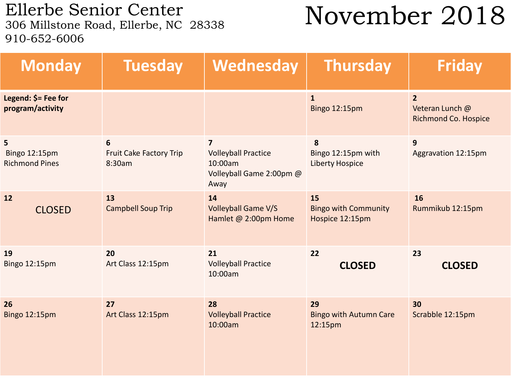Ellerbe Senior Center<br>306 Millstone Road, Ellerbe, NC 28338 910-652-6006

## November 2018

| <b>Monday</b>                               | <b>Tuesday</b>                                | Wednesday                                                                                   | <b>Thursday</b>                                      | <b>Friday</b>                                                    |
|---------------------------------------------|-----------------------------------------------|---------------------------------------------------------------------------------------------|------------------------------------------------------|------------------------------------------------------------------|
| Legend: \$= Fee for<br>program/activity     |                                               |                                                                                             | $\mathbf{1}$<br><b>Bingo 12:15pm</b>                 | $\overline{2}$<br>Veteran Lunch @<br><b>Richmond Co. Hospice</b> |
| 5<br>Bingo 12:15pm<br><b>Richmond Pines</b> | 6<br><b>Fruit Cake Factory Trip</b><br>8:30am | $\overline{7}$<br><b>Volleyball Practice</b><br>10:00am<br>Volleyball Game 2:00pm @<br>Away | 8<br>Bingo 12:15pm with<br><b>Liberty Hospice</b>    | 9<br>Aggravation 12:15pm                                         |
| 12<br><b>CLOSED</b>                         | 13<br><b>Campbell Soup Trip</b>               | 14<br><b>Volleyball Game V/S</b><br>Hamlet @ 2:00pm Home                                    | 15<br><b>Bingo with Community</b><br>Hospice 12:15pm | 16<br>Rummikub 12:15pm                                           |
| 19<br>Bingo 12:15pm                         | 20<br>Art Class 12:15pm                       | 21<br><b>Volleyball Practice</b><br>10:00am                                                 | 22<br><b>CLOSED</b>                                  | 23<br><b>CLOSED</b>                                              |
| 26<br><b>Bingo 12:15pm</b>                  | 27<br>Art Class 12:15pm                       | 28<br><b>Volleyball Practice</b><br>10:00am                                                 | 29<br><b>Bingo with Autumn Care</b><br>12:15pm       | 30<br>Scrabble 12:15pm                                           |